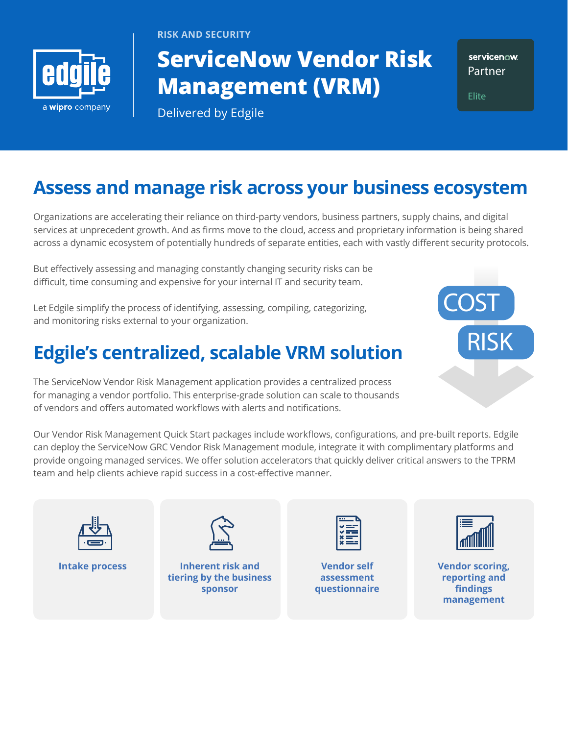

**RISK AND SECURITY**

# **ServiceNow Vendor Risk Management (VRM)**

servicenow. **Partner**

**Elite**

Delivered by Edgile

# **Assess and manage risk across your business ecosystem**

Organizations are accelerating their reliance on third-party vendors, business partners, supply chains, and digital services at unprecedent growth. And as firms move to the cloud, access and proprietary information is being shared across a dynamic ecosystem of potentially hundreds of separate entities, each with vastly different security protocols.

But effectively assessing and managing constantly changing security risks can be difficult, time consuming and expensive for your internal IT and security team.

Let Edgile simplify the process of identifying, assessing, compiling, categorizing, and monitoring risks external to your organization.

# **Edgile's centralized, scalable VRM solution**

The ServiceNow Vendor Risk Management application provides a centralized process for managing a vendor portfolio. This enterprise-grade solution can scale to thousands of vendors and offers automated workflows with alerts and notifications.

Our Vendor Risk Management Quick Start packages include workflows, configurations, and pre-built reports. Edgile can deploy the ServiceNow GRC Vendor Risk Management module, integrate it with complimentary platforms and provide ongoing managed services. We offer solution accelerators that quickly deliver critical answers to the TPRM team and help clients achieve rapid success in a cost-effective manner.





**Intake process Inherent risk and tiering by the business sponsor**

**Vendor self assessment questionnaire**



**RISK**

**COST**

**Vendor scoring, reporting and findings management**